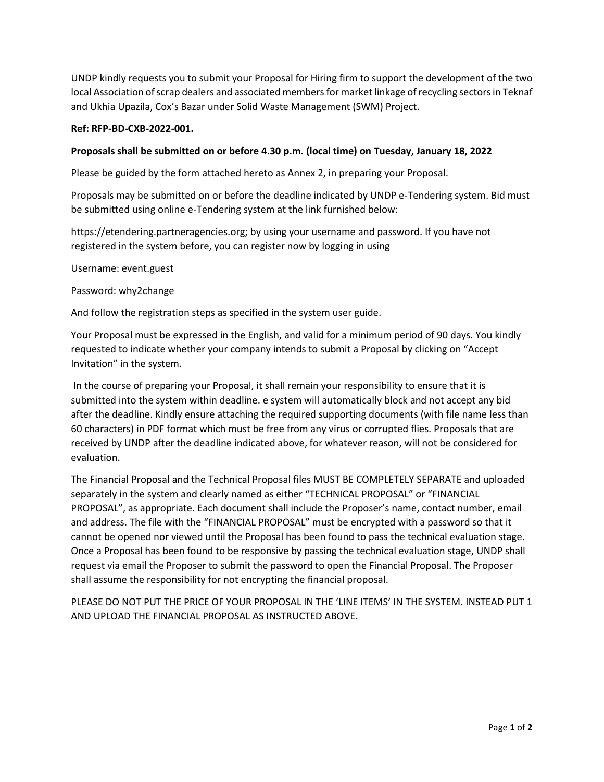UNDP kindly requests you to submit your Proposal for Hiring firm to support the development of the two local Association of scrap dealers and associated members for market linkage of recycling sectors in Teknaf and Ukhia Upazila, Cox's Bazar under Solid Waste Management (SWM) Project.

## **Ref: RFP-BD-CXB-2022-001.**

## **Proposals shall be submitted on or before 4.30 p.m. (local time) on Tuesday, January 18, 2022**

Please be guided by the form attached hereto as Annex 2, in preparing your Proposal.

Proposals may be submitted on or before the deadline indicated by UNDP e-Tendering system. Bid must be submitted using online e-Tendering system at the link furnished below:

https://etendering.partneragencies.org; by using your username and password. If you have not registered in the system before, you can register now by logging in using

Username: event.guest

## Password: why2change

And follow the registration steps as specified in the system user guide.

Your Proposal must be expressed in the English, and valid for a minimum period of 90 days. You kindly requested to indicate whether your company intends to submit a Proposal by clicking on "Accept Invitation" in the system.

In the course of preparing your Proposal, it shall remain your responsibility to ensure that it is submitted into the system within deadline. e system will automatically block and not accept any bid after the deadline. Kindly ensure attaching the required supporting documents (with file name less than 60 characters) in PDF format which must be free from any virus or corrupted flies. Proposals that are received by UNDP after the deadline indicated above, for whatever reason, will not be considered for evaluation.

The Financial Proposal and the Technical Proposal files MUST BE COMPLETELY SEPARATE and uploaded separately in the system and clearly named as either "TECHNICAL PROPOSAL" or "FINANCIAL PROPOSAL", as appropriate. Each document shall include the Proposer's name, contact number, email and address. The file with the "FINANCIAL PROPOSAL" must be encrypted with a password so that it cannot be opened nor viewed until the Proposal has been found to pass the technical evaluation stage. Once a Proposal has been found to be responsive by passing the technical evaluation stage, UNDP shall request via email the Proposer to submit the password to open the Financial Proposal. The Proposer shall assume the responsibility for not encrypting the financial proposal.

PLEASE DO NOT PUT THE PRICE OF YOUR PROPOSAL IN THE 'LINE ITEMS' IN THE SYSTEM. INSTEAD PUT 1 AND UPLOAD THE FINANCIAL PROPOSAL AS INSTRUCTED ABOVE.